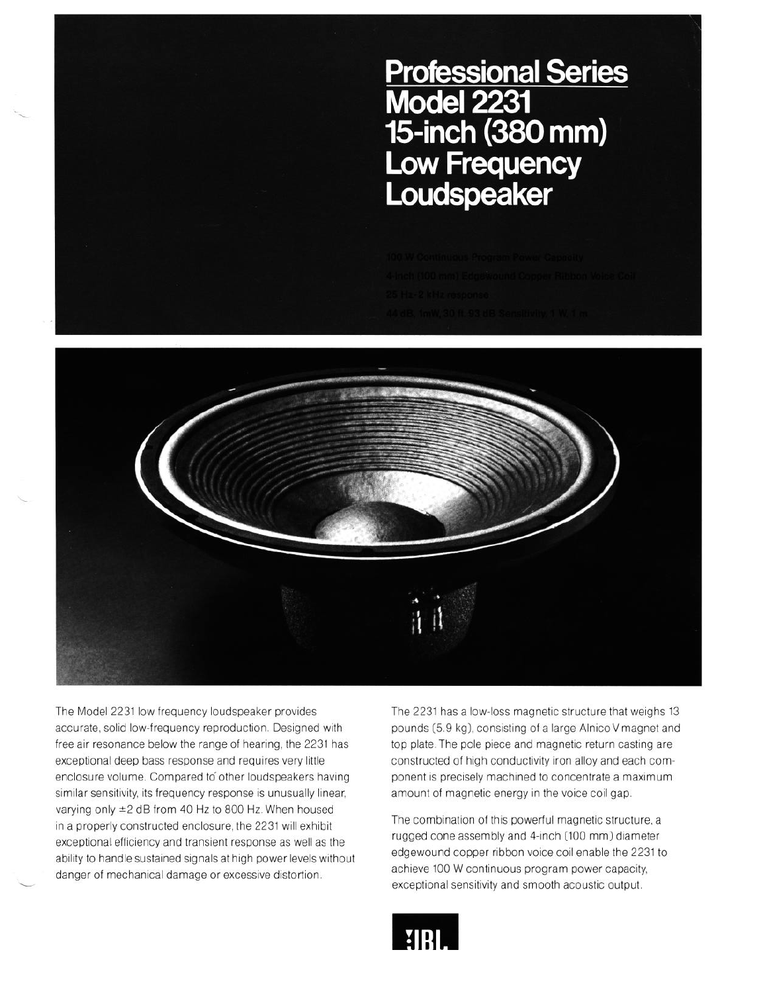Professional Series<br>Model 2231<br>15-inch (380 mm)<br>Low Frequency<br>Loudspeaker



The Model 2231 low frequency loudspeaker provides The 2231 has a low-loss magnetic structure that weighs 13 accurate, solid low-frequency reproduction. Designed with pounds (5.9 kg), consisting of a large Alnico V magnet and free air resonance below the range of hearing, the 2231 has top plate. The pole piece and magnetic return casting are exceptional deep bass response and requires very little enclosure volume. Compared to other loudspeakers having similar sensitivity, its frequency response is unusually linear, varying only \*2 dB from 40 Hz to 800 Hz. When housed in a properly constructed enclosure, the 2231 will exhibit exceptional efficiency and transient response as well as the ability to handle sustained signals at high power levels without danger of mechanical damage or excessive distortion.

-

constructed of high conductivity iron alloy and each component is precisely machined to concentrate a maximum amount of magnetic energy in the voice coil gap.

The combination of this powerful magnetic structure, a rugged cone assembly and 4-inch (100 mm) diameter edgewound copper ribbon voice coil enable the 2231 to achieve 100 W continuous program power capacity, exceptional sensitivity and smooth acoustic output